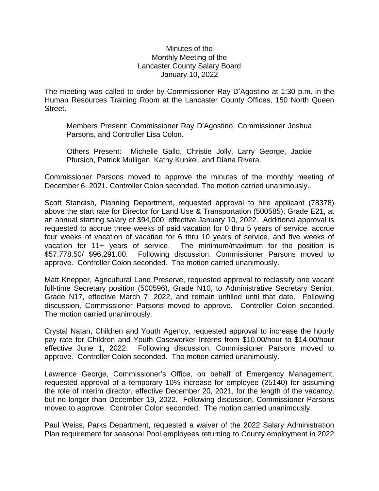## Minutes of the Monthly Meeting of the Lancaster County Salary Board January 10, 2022

The meeting was called to order by Commissioner Ray D'Agostino at 1:30 p.m. in the Human Resources Training Room at the Lancaster County Offices, 150 North Queen Street.

Members Present: Commissioner Ray D'Agostino, Commissioner Joshua Parsons, and Controller Lisa Colon.

Others Present: Michelle Gallo, Christie Jolly, Larry George, Jackie Pfursich, Patrick Mulligan, Kathy Kunkel, and Diana Rivera.

Commissioner Parsons moved to approve the minutes of the monthly meeting of December 6, 2021. Controller Colon seconded. The motion carried unanimously.

Scott Standish, Planning Department, requested approval to hire applicant (78378) above the start rate for Director for Land Use & Transportation (500585), Grade E21, at an annual starting salary of \$94,000, effective January 10, 2022. Additional approval is requested to accrue three weeks of paid vacation for 0 thru 5 years of service, accrue four weeks of vacation of vacation for 6 thru 10 years of service, and five weeks of vacation for 11+ years of service. The minimum/maximum for the position is \$57,778.50/ \$96,291.00. Following discussion, Commissioner Parsons moved to approve. Controller Colon seconded. The motion carried unanimously.

Matt Knepper, Agricultural Land Preserve, requested approval to reclassify one vacant full-time Secretary position (500596), Grade N10, to Administrative Secretary Senior, Grade N17, effective March 7, 2022, and remain unfilled until that date. Following discussion, Commissioner Parsons moved to approve. Controller Colon seconded. The motion carried unanimously.

Crystal Natan, Children and Youth Agency, requested approval to increase the hourly pay rate for Children and Youth Caseworker Interns from \$10.00/hour to \$14.00/hour effective June 1, 2022. Following discussion, Commissioner Parsons moved to approve. Controller Colon seconded. The motion carried unanimously.

Lawrence George, Commissioner's Office, on behalf of Emergency Management, requested approval of a temporary 10% increase for employee (25140) for assuming the role of interim director, effective December 20, 2021, for the length of the vacancy, but no longer than December 19, 2022. Following discussion, Commissioner Parsons moved to approve. Controller Colon seconded. The motion carried unanimously.

Paul Weiss, Parks Department, requested a waiver of the 2022 Salary Administration Plan requirement for seasonal Pool employees returning to County employment in 2022